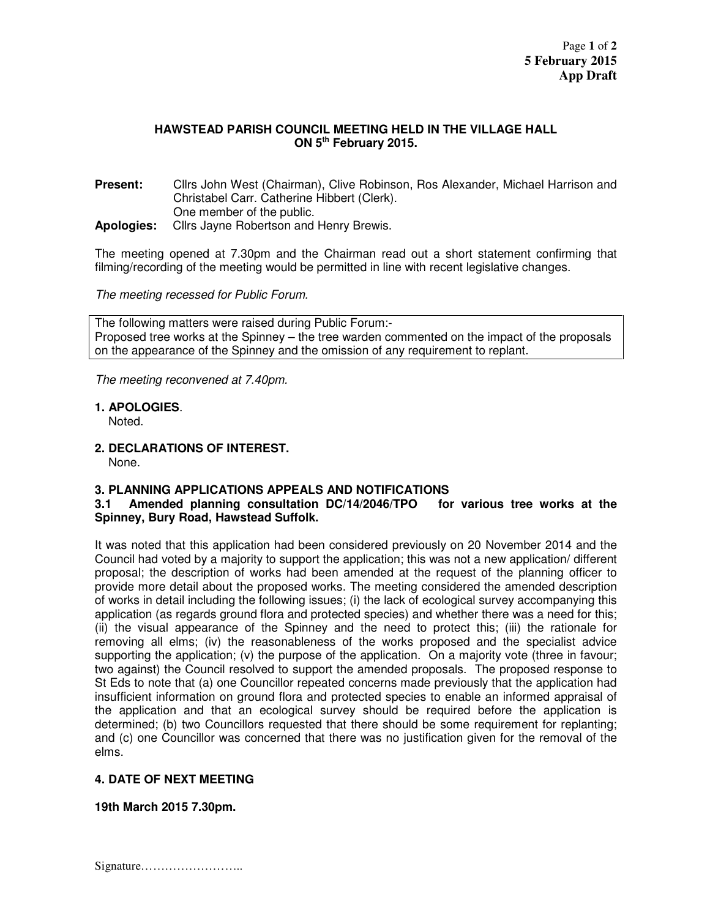## **HAWSTEAD PARISH COUNCIL MEETING HELD IN THE VILLAGE HALL ON 5th February 2015.**

**Present:** Cllrs John West (Chairman), Clive Robinson, Ros Alexander, Michael Harrison and Christabel Carr. Catherine Hibbert (Clerk). One member of the public. **Apologies:** Cllrs Jayne Robertson and Henry Brewis.

The meeting opened at 7.30pm and the Chairman read out a short statement confirming that filming/recording of the meeting would be permitted in line with recent legislative changes.

The meeting recessed for Public Forum.

The following matters were raised during Public Forum:- Proposed tree works at the Spinney – the tree warden commented on the impact of the proposals on the appearance of the Spinney and the omission of any requirement to replant.

The meeting reconvened at 7.40pm.

**1. APOLOGIES**.

Noted.

**2. DECLARATIONS OF INTEREST.** 

None.

## **3. PLANNING APPLICATIONS APPEALS AND NOTIFICATIONS**

## **3.1 Amended planning consultation DC/14/2046/TPO for various tree works at the Spinney, Bury Road, Hawstead Suffolk.**

It was noted that this application had been considered previously on 20 November 2014 and the Council had voted by a majority to support the application; this was not a new application/ different proposal; the description of works had been amended at the request of the planning officer to provide more detail about the proposed works. The meeting considered the amended description of works in detail including the following issues; (i) the lack of ecological survey accompanying this application (as regards ground flora and protected species) and whether there was a need for this; (ii) the visual appearance of the Spinney and the need to protect this; (iii) the rationale for removing all elms; (iv) the reasonableness of the works proposed and the specialist advice supporting the application; (v) the purpose of the application. On a majority vote (three in favour; two against) the Council resolved to support the amended proposals. The proposed response to St Eds to note that (a) one Councillor repeated concerns made previously that the application had insufficient information on ground flora and protected species to enable an informed appraisal of the application and that an ecological survey should be required before the application is determined; (b) two Councillors requested that there should be some requirement for replanting; and (c) one Councillor was concerned that there was no justification given for the removal of the elms.

## **4. DATE OF NEXT MEETING**

**19th March 2015 7.30pm.** 

Signature……………………..